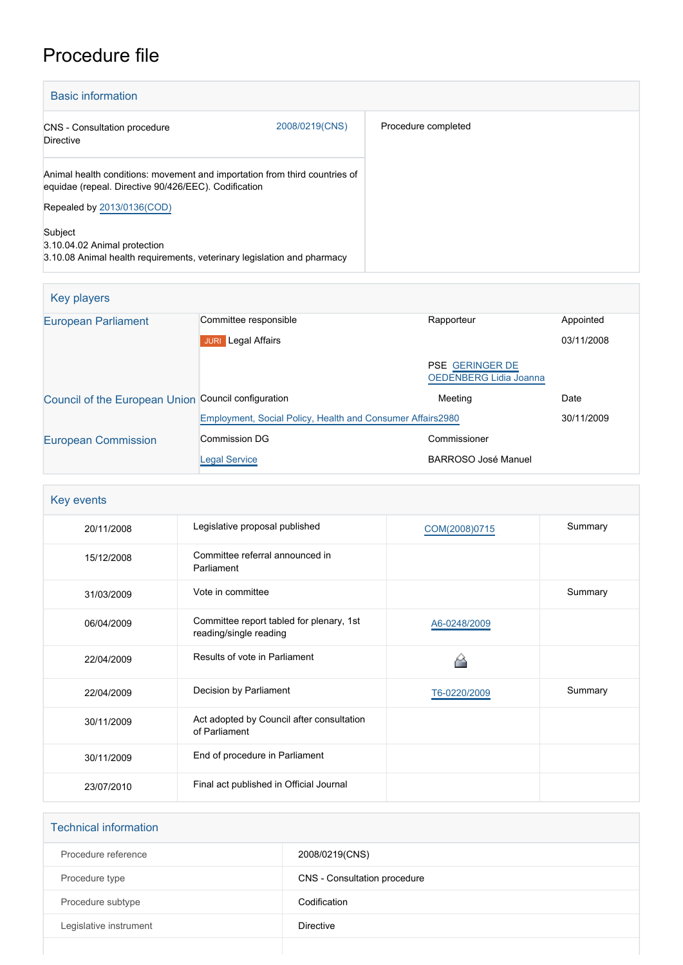## Procedure file

| <b>Basic information</b>                                                                                                           |                |                     |
|------------------------------------------------------------------------------------------------------------------------------------|----------------|---------------------|
| <b>CNS</b> - Consultation procedure<br><b>Directive</b>                                                                            | 2008/0219(CNS) | Procedure completed |
| Animal health conditions: movement and importation from third countries of<br>equidae (repeal. Directive 90/426/EEC). Codification |                |                     |
| Repealed by 2013/0136(COD)                                                                                                         |                |                     |
| Subject<br>3.10.04.02 Animal protection<br>3.10.08 Animal health requirements, veterinary legislation and pharmacy                 |                |                     |

| Key players                                         |                                                            |                                                  |            |
|-----------------------------------------------------|------------------------------------------------------------|--------------------------------------------------|------------|
| <b>European Parliament</b>                          | Committee responsible                                      | Rapporteur                                       | Appointed  |
|                                                     | <b>Legal Affairs</b><br><b>JURI</b>                        |                                                  | 03/11/2008 |
|                                                     |                                                            | <b>PSE GERINGER DE</b><br>OEDENBERG Lidia Joanna |            |
| Council of the European Union Council configuration |                                                            | Meeting                                          | Date       |
|                                                     | Employment, Social Policy, Health and Consumer Affairs2980 |                                                  | 30/11/2009 |
| <b>European Commission</b>                          | Commission DG                                              | Commissioner                                     |            |
|                                                     | <b>Legal Service</b>                                       | BARROSO José Manuel                              |            |

| Key events |                                                                    |               |         |
|------------|--------------------------------------------------------------------|---------------|---------|
| 20/11/2008 | Legislative proposal published                                     | COM(2008)0715 | Summary |
| 15/12/2008 | Committee referral announced in<br>Parliament                      |               |         |
| 31/03/2009 | Vote in committee                                                  |               | Summary |
| 06/04/2009 | Committee report tabled for plenary, 1st<br>reading/single reading | A6-0248/2009  |         |
| 22/04/2009 | Results of vote in Parliament                                      |               |         |
| 22/04/2009 | Decision by Parliament                                             | T6-0220/2009  | Summary |
| 30/11/2009 | Act adopted by Council after consultation<br>of Parliament         |               |         |
| 30/11/2009 | End of procedure in Parliament                                     |               |         |
| 23/07/2010 | Final act published in Official Journal                            |               |         |

| <b>Technical information</b> |                              |  |
|------------------------------|------------------------------|--|
| Procedure reference          | 2008/0219(CNS)               |  |
| Procedure type               | CNS - Consultation procedure |  |
| Procedure subtype            | Codification                 |  |
| Legislative instrument       | <b>Directive</b>             |  |
|                              |                              |  |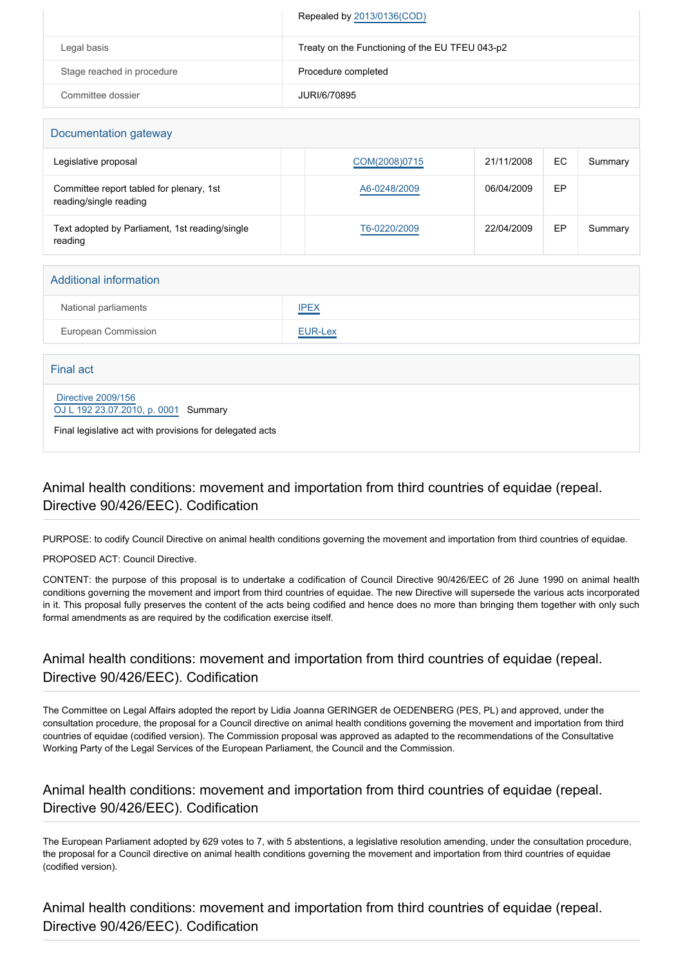|                            | Repealed by 2013/0136(COD)                      |
|----------------------------|-------------------------------------------------|
| Legal basis                | Treaty on the Functioning of the EU TFEU 043-p2 |
| Stage reached in procedure | Procedure completed                             |
| Committee dossier          | JURI/6/70895                                    |

| Documentation gateway                                              |               |            |     |         |
|--------------------------------------------------------------------|---------------|------------|-----|---------|
| Legislative proposal                                               | COM(2008)0715 | 21/11/2008 | EC. | Summary |
| Committee report tabled for plenary, 1st<br>reading/single reading | A6-0248/2009  | 06/04/2009 | EP  |         |
| Text adopted by Parliament, 1st reading/single<br>reading          | T6-0220/2009  | 22/04/2009 | EP  | Summary |

| <b>Additional information</b> |                |  |
|-------------------------------|----------------|--|
| National parliaments          | <b>IPEX</b>    |  |
| European Commission           | <b>EUR-Lex</b> |  |
|                               |                |  |
| Final act                     |                |  |

 [Directive 2009/156](https://eur-lex.europa.eu/smartapi/cgi/sga_doc?smartapi!celexplus!prod!CELEXnumdoc&lg=EN&numdoc=32009L0156) [OJ L 192 23.07.2010, p. 0001](https://eur-lex.europa.eu/JOHtml.do?uri=OJ:L:2010:192:SOM:EN:HTML) Summary

Final legislative act with provisions for delegated acts

## Animal health conditions: movement and importation from third countries of equidae (repeal. Directive 90/426/EEC). Codification

PURPOSE: to codify Council Directive on animal health conditions governing the movement and importation from third countries of equidae.

PROPOSED ACT: Council Directive.

CONTENT: the purpose of this proposal is to undertake a codification of Council Directive 90/426/EEC of 26 June 1990 on animal health conditions governing the movement and import from third countries of equidae. The new Directive will supersede the various acts incorporated in it. This proposal fully preserves the content of the acts being codified and hence does no more than bringing them together with only such formal amendments as are required by the codification exercise itself.

## Animal health conditions: movement and importation from third countries of equidae (repeal. Directive 90/426/EEC). Codification

The Committee on Legal Affairs adopted the report by Lidia Joanna GERINGER de OEDENBERG (PES, PL) and approved, under the consultation procedure, the proposal for a Council directive on animal health conditions governing the movement and importation from third countries of equidae (codified version). The Commission proposal was approved as adapted to the recommendations of the Consultative Working Party of the Legal Services of the European Parliament, the Council and the Commission.

## Animal health conditions: movement and importation from third countries of equidae (repeal. Directive 90/426/EEC). Codification

The European Parliament adopted by 629 votes to 7, with 5 abstentions, a legislative resolution amending, under the consultation procedure, the proposal for a Council directive on animal health conditions governing the movement and importation from third countries of equidae (codified version).

Animal health conditions: movement and importation from third countries of equidae (repeal. Directive 90/426/EEC). Codification